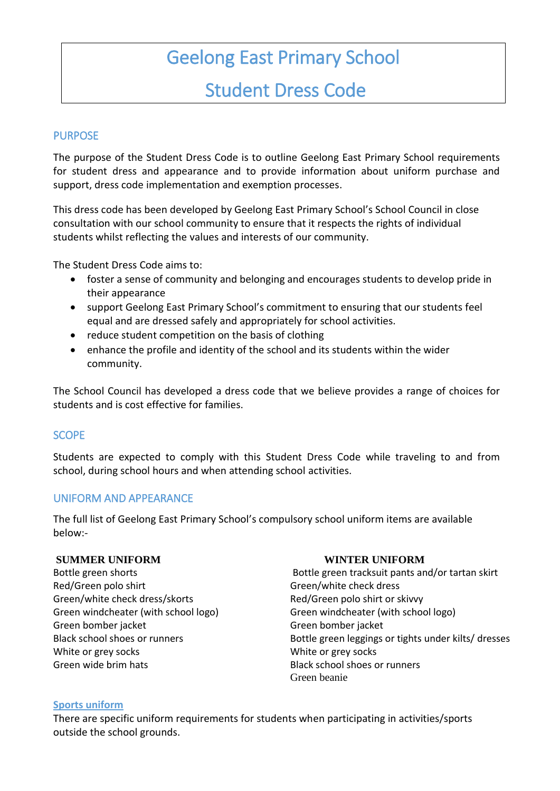# Geelong East Primary School

## Student Dress Code

#### PURPOSE

The purpose of the Student Dress Code is to outline Geelong East Primary School requirements for student dress and appearance and to provide information about uniform purchase and support, dress code implementation and exemption processes.

This dress code has been developed by Geelong East Primary School's School Council in close consultation with our school community to ensure that it respects the rights of individual students whilst reflecting the values and interests of our community.

The Student Dress Code aims to:

- foster a sense of community and belonging and encourages students to develop pride in their appearance
- support Geelong East Primary School's commitment to ensuring that our students feel equal and are dressed safely and appropriately for school activities.
- reduce student competition on the basis of clothing
- enhance the profile and identity of the school and its students within the wider community.

The School Council has developed a dress code that we believe provides a range of choices for students and is cost effective for families.

#### **SCOPE**

Students are expected to comply with this Student Dress Code while traveling to and from school, during school hours and when attending school activities.

#### UNIFORM AND APPEARANCE

The full list of Geelong East Primary School's compulsory school uniform items are available below:-

#### **SUMMER UNIFORM WINTER UNIFORM**

Red/Green polo shirt Green/white check dress Green/white check dress/skorts extended a Red/Green polo shirt or skivvy Green bomber jacket Green bomber jacket White or grey socks White or grey socks Green wide brim hats Black school shoes or runners

Bottle green shorts **Bottle green tracksuit pants and/or tartan skirt** Green windcheater (with school logo) Green windcheater (with school logo) Black school shoes or runners Bottle green leggings or tights under kilts/ dresses Green beanie

#### **Sports uniform**

There are specific uniform requirements for students when participating in activities/sports outside the school grounds.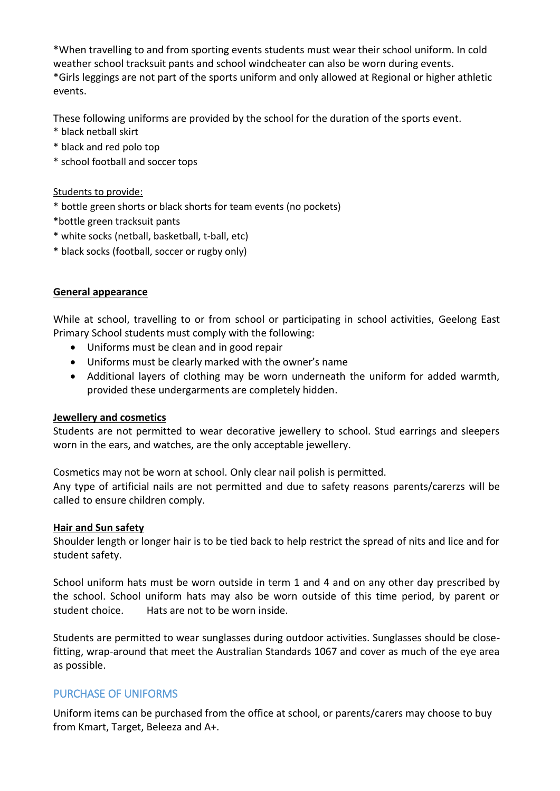\*When travelling to and from sporting events students must wear their school uniform. In cold weather school tracksuit pants and school windcheater can also be worn during events. \*Girls leggings are not part of the sports uniform and only allowed at Regional or higher athletic events.

These following uniforms are provided by the school for the duration of the sports event.

- \* black netball skirt
- \* black and red polo top
- \* school football and soccer tops

#### Students to provide:

- \* bottle green shorts or black shorts for team events (no pockets)
- \*bottle green tracksuit pants
- \* white socks (netball, basketball, t-ball, etc)
- \* black socks (football, soccer or rugby only)

#### **General appearance**

While at school, travelling to or from school or participating in school activities, Geelong East Primary School students must comply with the following:

- Uniforms must be clean and in good repair
- Uniforms must be clearly marked with the owner's name
- Additional layers of clothing may be worn underneath the uniform for added warmth, provided these undergarments are completely hidden.

#### **Jewellery and cosmetics**

Students are not permitted to wear decorative jewellery to school. Stud earrings and sleepers worn in the ears, and watches, are the only acceptable jewellery.

Cosmetics may not be worn at school. Only clear nail polish is permitted.

Any type of artificial nails are not permitted and due to safety reasons parents/carerzs will be called to ensure children comply.

#### **Hair and Sun safety**

Shoulder length or longer hair is to be tied back to help restrict the spread of nits and lice and for student safety.

School uniform hats must be worn outside in term 1 and 4 and on any other day prescribed by the school. School uniform hats may also be worn outside of this time period, by parent or student choice. Hats are not to be worn inside.

Students are permitted to wear sunglasses during outdoor activities. Sunglasses should be closefitting, wrap-around that meet the Australian Standards 1067 and cover as much of the eye area as possible.

#### PURCHASE OF UNIFORMS

Uniform items can be purchased from the office at school, or parents/carers may choose to buy from Kmart, Target, Beleeza and A+.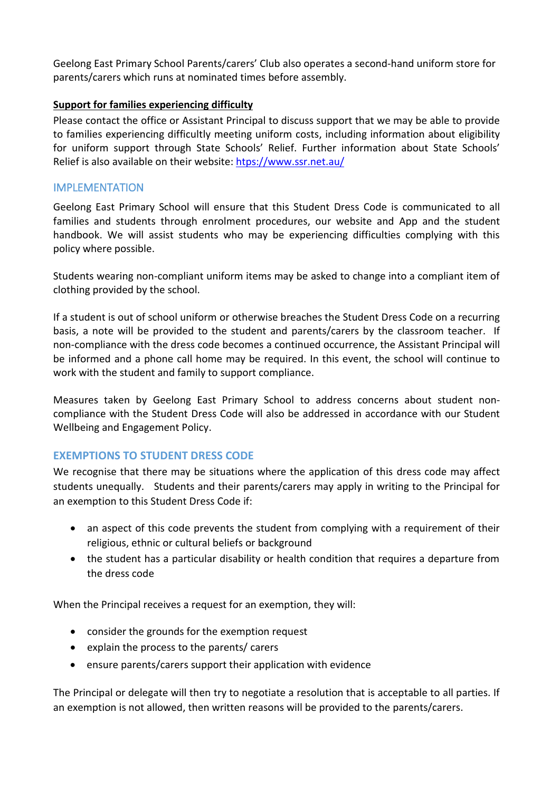Geelong East Primary School Parents/carers' Club also operates a second-hand uniform store for parents/carers which runs at nominated times before assembly.

#### **Support for families experiencing difficulty**

Please contact the office or Assistant Principal to discuss support that we may be able to provide to families experiencing difficultly meeting uniform costs, including information about eligibility for uniform support through State Schools' Relief. Further information about State Schools' Relief is also available on their website: [htps://www.ssr.net.au/](https://www.ssr.net.au/)

#### IMPLEMENTATION

Geelong East Primary School will ensure that this Student Dress Code is communicated to all families and students through enrolment procedures, our website and App and the student handbook. We will assist students who may be experiencing difficulties complying with this policy where possible.

Students wearing non-compliant uniform items may be asked to change into a compliant item of clothing provided by the school.

If a student is out of school uniform or otherwise breaches the Student Dress Code on a recurring basis, a note will be provided to the student and parents/carers by the classroom teacher. If non-compliance with the dress code becomes a continued occurrence, the Assistant Principal will be informed and a phone call home may be required. In this event, the school will continue to work with the student and family to support compliance.

Measures taken by Geelong East Primary School to address concerns about student noncompliance with the Student Dress Code will also be addressed in accordance with our Student Wellbeing and Engagement Policy.

#### **EXEMPTIONS TO STUDENT DRESS CODE**

We recognise that there may be situations where the application of this dress code may affect students unequally. Students and their parents/carers may apply in writing to the Principal for an exemption to this Student Dress Code if:

- an aspect of this code prevents the student from complying with a requirement of their religious, ethnic or cultural beliefs or background
- the student has a particular disability or health condition that requires a departure from the dress code

When the Principal receives a request for an exemption, they will:

- consider the grounds for the exemption request
- explain the process to the parents/ carers
- ensure parents/carers support their application with evidence

The Principal or delegate will then try to negotiate a resolution that is acceptable to all parties. If an exemption is not allowed, then written reasons will be provided to the parents/carers.